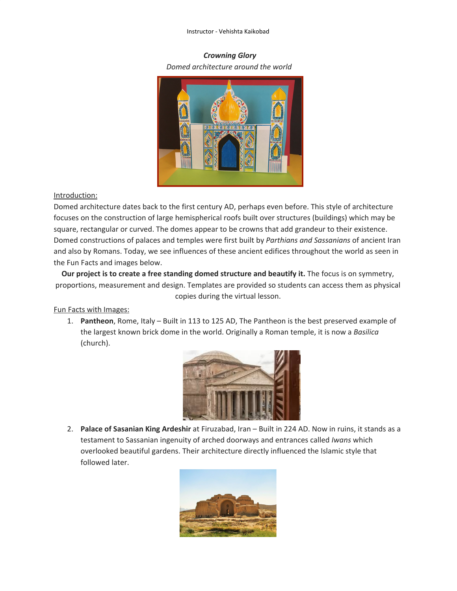#### Instructor - Vehishta Kaikobad

## *Crowning Glory Domed architecture around the world*



#### Introduction:

Domed architecture dates back to the first century AD, perhaps even before. This style of architecture focuses on the construction of large hemispherical roofs built over structures (buildings) which may be square, rectangular or curved. The domes appear to be crowns that add grandeur to their existence. Domed constructions of palaces and temples were first built by *Parthians and Sassanians* of ancient Iran and also by Romans. Today, we see influences of these ancient edifices throughout the world as seen in the Fun Facts and images below.

**Our project is to create a free standing domed structure and beautify it.** The focus is on symmetry, proportions, measurement and design. Templates are provided so students can access them as physical copies during the virtual lesson.

Fun Facts with Images:

1. **Pantheon**, Rome, Italy – Built in 113 to 125 AD, The Pantheon is the best preserved example of the largest known brick dome in the world. Originally a Roman temple, it is now a *Basilica* (church).



2. **Palace of Sasanian King Ardeshir** at Firuzabad, Iran – Built in 224 AD. Now in ruins, it stands as a testament to Sassanian ingenuity of arched doorways and entrances called *Iwans* which overlooked beautiful gardens. Their architecture directly influenced the Islamic style that followed later.

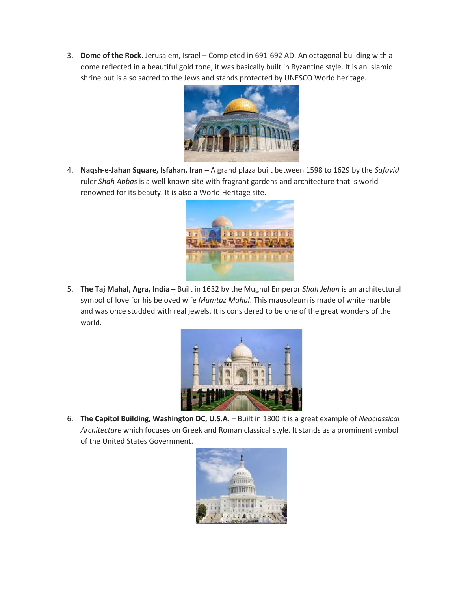3. **Dome of the Rock**. Jerusalem, Israel – Completed in 691-692 AD. An octagonal building with a dome reflected in a beautiful gold tone, it was basically built in Byzantine style. It is an Islamic shrine but is also sacred to the Jews and stands protected by UNESCO World heritage.



4. **Naqsh-e-Jahan Square, Isfahan, Iran** – A grand plaza built between 1598 to 1629 by the *Safavid* ruler *Shah Abbas* is a well known site with fragrant gardens and architecture that is world renowned for its beauty. It is also a World Heritage site.



5. **The Taj Mahal, Agra, India** – Built in 1632 by the Mughul Emperor *Shah Jehan* is an architectural symbol of love for his beloved wife *Mumtaz Mahal*. This mausoleum is made of white marble and was once studded with real jewels. It is considered to be one of the great wonders of the world.



6. **The Capitol Building, Washington DC, U.S.A.** – Built in 1800 it is a great example of *Neoclassical Architecture* which focuses on Greek and Roman classical style. It stands as a prominent symbol of the United States Government.

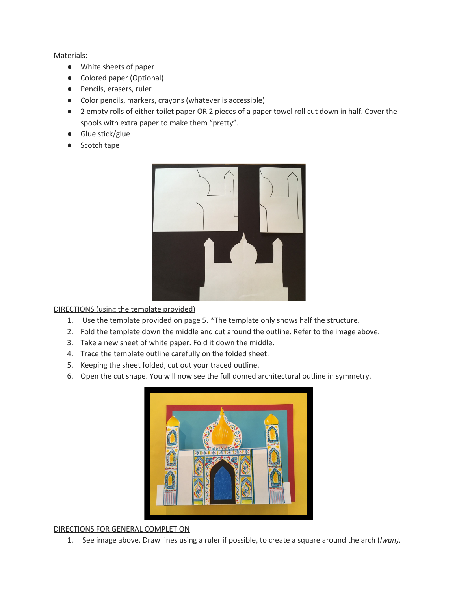#### Materials:

- White sheets of paper
- Colored paper (Optional)
- Pencils, erasers, ruler
- Color pencils, markers, crayons (whatever is accessible)
- 2 empty rolls of either toilet paper OR 2 pieces of a paper towel roll cut down in half. Cover the spools with extra paper to make them "pretty".
- Glue stick/glue
- Scotch tape



DIRECTIONS (using the template provided)

- 1. Use the template provided on page 5. \*The template only shows half the structure.
- 2. Fold the template down the middle and cut around the outline. Refer to the image above.
- 3. Take a new sheet of white paper. Fold it down the middle.
- 4. Trace the template outline carefully on the folded sheet.
- 5. Keeping the sheet folded, cut out your traced outline.
- 6. Open the cut shape. You will now see the full domed architectural outline in symmetry.



### DIRECTIONS FOR GENERAL COMPLETION

1. See image above. Draw lines using a ruler if possible, to create a square around the arch (*Iwan)*.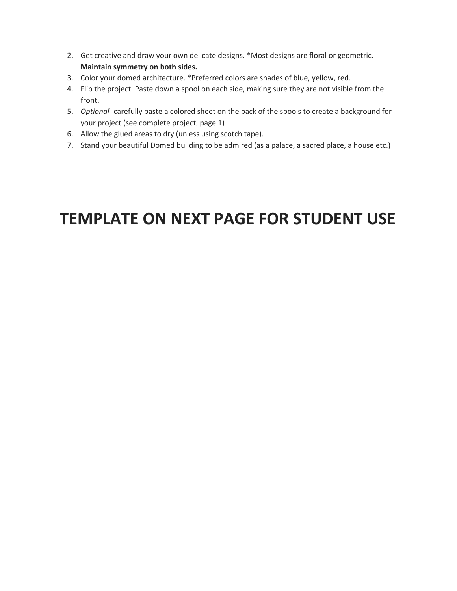- 2. Get creative and draw your own delicate designs. \*Most designs are floral or geometric. **Maintain symmetry on both sides.**
- 3. Color your domed architecture. \*Preferred colors are shades of blue, yellow, red.
- 4. Flip the project. Paste down a spool on each side, making sure they are not visible from the front.
- 5. *Optional-* carefully paste a colored sheet on the back of the spools to create a background for your project (see complete project, page 1)
- 6. Allow the glued areas to dry (unless using scotch tape).
- 7. Stand your beautiful Domed building to be admired (as a palace, a sacred place, a house etc.)

# **TEMPLATE ON NEXT PAGE FOR STUDENT USE**